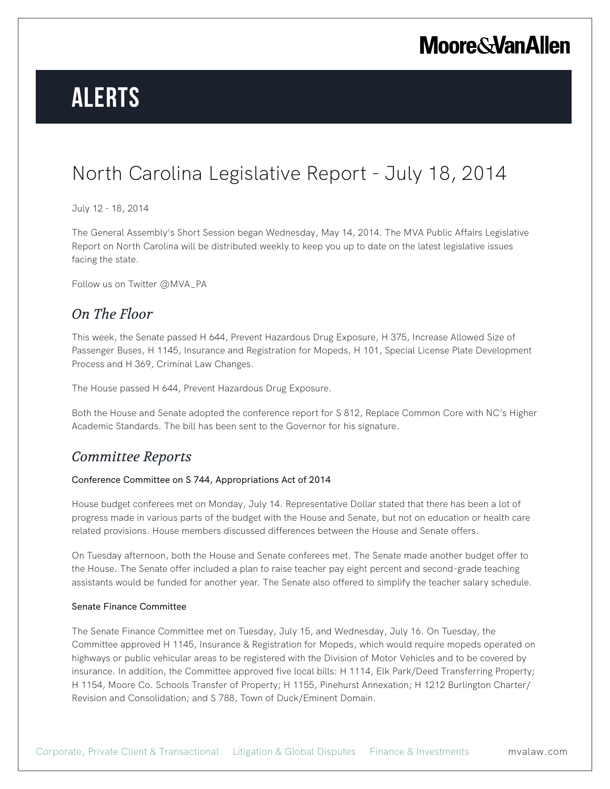## **Moore & Van Allen**

# **Alerts**

## North Carolina Legislative Report - July 18, 2014

July 12 - 18, 2014

The General Assembly's Short Session began Wednesday, May 14, 2014. The MVA Public Affairs Legislative Report on North Carolina will be distributed weekly to keep you up to date on the latest legislative issues facing the state.

Follow us on Twitter @MVA\_PA

### *On The Floor*

This week, the Senate passed H 644, Prevent Hazardous Drug Exposure, H 375, Increase Allowed Size of Passenger Buses, H 1145, Insurance and Registration for Mopeds, H 101, Special License Plate Development Process and H 369, Criminal Law Changes.

The House passed H 644, Prevent Hazardous Drug Exposure.

Both the House and Senate adopted the conference report for S 812, Replace Common Core with NC's Higher Academic Standards. The bill has been sent to the Governor for his signature.

### *Committee Reports*

#### Conference Committee on S 744, Appropriations Act of 2014

House budget conferees met on Monday, July 14. Representative Dollar stated that there has been a lot of progress made in various parts of the budget with the House and Senate, but not on education or health care related provisions. House members discussed differences between the House and Senate offers.

On Tuesday afternoon, both the House and Senate conferees met. The Senate made another budget offer to the House. The Senate offer included a plan to raise teacher pay eight percent and second-grade teaching assistants would be funded for another year. The Senate also offered to simplify the teacher salary schedule.

#### Senate Finance Committee

The Senate Finance Committee met on Tuesday, July 15, and Wednesday, July 16. On Tuesday, the Committee approved H 1145, Insurance & Registration for Mopeds, which would require mopeds operated on highways or public vehicular areas to be registered with the Division of Motor Vehicles and to be covered by insurance. In addition, the Committee approved five local bills: H 1114, Elk Park/Deed Transferring Property; H 1154, Moore Co. Schools Transfer of Property; H 1155, Pinehurst Annexation; H 1212 Burlington Charter/ Revision and Consolidation; and S 788, Town of Duck/Eminent Domain.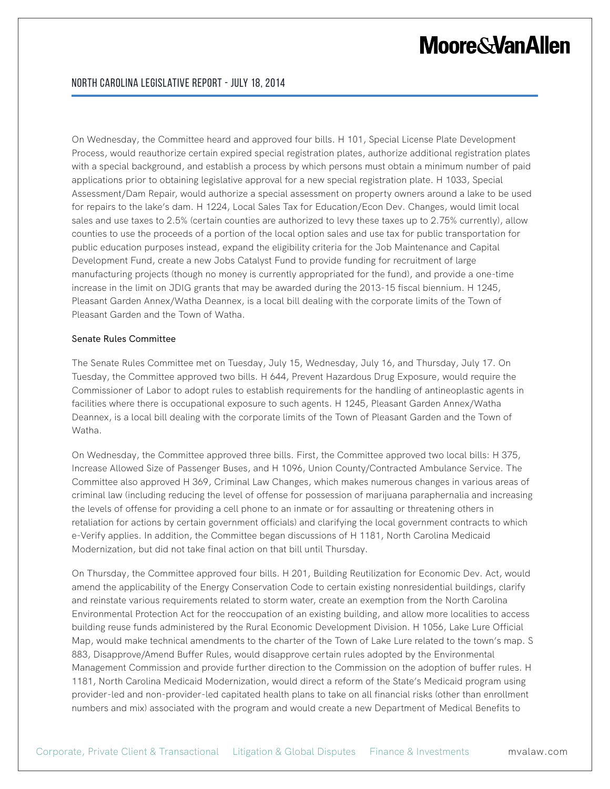## **Moore&VanAllen**

On Wednesday, the Committee heard and approved four bills. H 101, Special License Plate Development Process, would reauthorize certain expired special registration plates, authorize additional registration plates with a special background, and establish a process by which persons must obtain a minimum number of paid applications prior to obtaining legislative approval for a new special registration plate. H 1033, Special Assessment/Dam Repair, would authorize a special assessment on property owners around a lake to be used for repairs to the lake's dam. H 1224, Local Sales Tax for Education/Econ Dev. Changes, would limit local sales and use taxes to 2.5% (certain counties are authorized to levy these taxes up to 2.75% currently), allow counties to use the proceeds of a portion of the local option sales and use tax for public transportation for public education purposes instead, expand the eligibility criteria for the Job Maintenance and Capital Development Fund, create a new Jobs Catalyst Fund to provide funding for recruitment of large manufacturing projects (though no money is currently appropriated for the fund), and provide a one-time increase in the limit on JDIG grants that may be awarded during the 2013-15 fiscal biennium. H 1245, Pleasant Garden Annex/Watha Deannex, is a local bill dealing with the corporate limits of the Town of Pleasant Garden and the Town of Watha.

#### Senate Rules Committee

The Senate Rules Committee met on Tuesday, July 15, Wednesday, July 16, and Thursday, July 17. On Tuesday, the Committee approved two bills. H 644, Prevent Hazardous Drug Exposure, would require the Commissioner of Labor to adopt rules to establish requirements for the handling of antineoplastic agents in facilities where there is occupational exposure to such agents. H 1245, Pleasant Garden Annex/Watha Deannex, is a local bill dealing with the corporate limits of the Town of Pleasant Garden and the Town of Watha.

On Wednesday, the Committee approved three bills. First, the Committee approved two local bills: H 375, Increase Allowed Size of Passenger Buses, and H 1096, Union County/Contracted Ambulance Service. The Committee also approved H 369, Criminal Law Changes, which makes numerous changes in various areas of criminal law (including reducing the level of offense for possession of marijuana paraphernalia and increasing the levels of offense for providing a cell phone to an inmate or for assaulting or threatening others in retaliation for actions by certain government officials) and clarifying the local government contracts to which e-Verify applies. In addition, the Committee began discussions of H 1181, North Carolina Medicaid Modernization, but did not take final action on that bill until Thursday.

On Thursday, the Committee approved four bills. H 201, Building Reutilization for Economic Dev. Act, would amend the applicability of the Energy Conservation Code to certain existing nonresidential buildings, clarify and reinstate various requirements related to storm water, create an exemption from the North Carolina Environmental Protection Act for the reoccupation of an existing building, and allow more localities to access building reuse funds administered by the Rural Economic Development Division. H 1056, Lake Lure Official Map, would make technical amendments to the charter of the Town of Lake Lure related to the town's map. S 883, Disapprove/Amend Buffer Rules, would disapprove certain rules adopted by the Environmental Management Commission and provide further direction to the Commission on the adoption of buffer rules. H 1181, North Carolina Medicaid Modernization, would direct a reform of the State's Medicaid program using provider-led and non-provider-led capitated health plans to take on all financial risks (other than enrollment numbers and mix) associated with the program and would create a new Department of Medical Benefits to